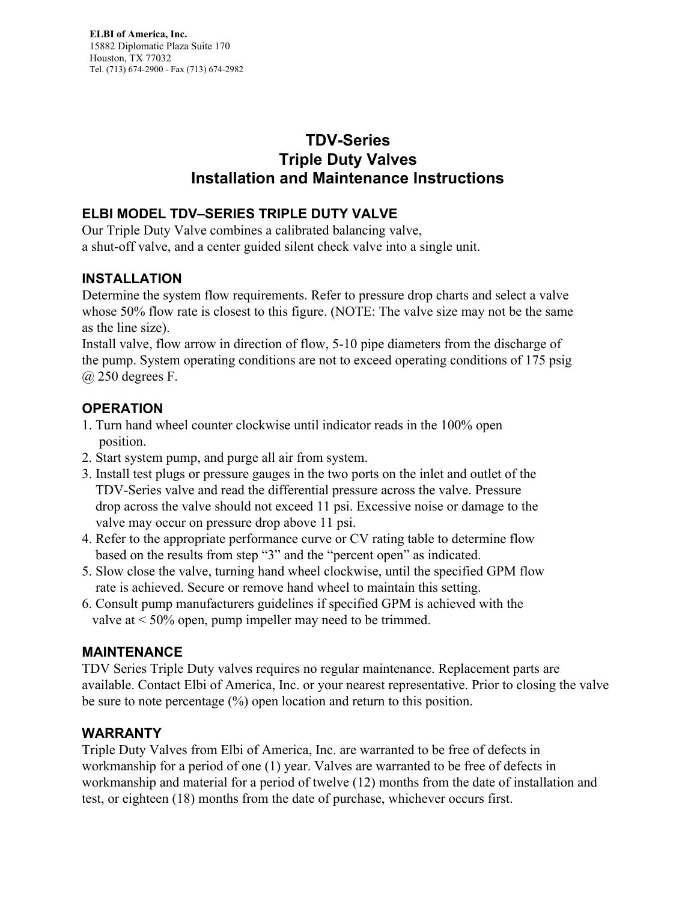# **TDV-Series Triple Duty Valves Installation and Maintenance Instructions**

## **ELBI MODEL TDV–SERIES TRIPLE DUTY VALVE**

Our Triple Duty Valve combines a calibrated balancing valve, a shut-off valve, and a center guided silent check valve into a single unit.

### **INSTALLATION**

Determine the system flow requirements. Refer to pressure drop charts and select a valve whose 50% flow rate is closest to this figure. (NOTE: The valve size may not be the same as the line size).

Install valve, flow arrow in direction of flow, 5-10 pipe diameters from the discharge of the pump. System operating conditions are not to exceed operating conditions of 175 psig  $(a)$  250 degrees F.

## **OPERATION**

- 1. Turn hand wheel counter clockwise until indicator reads in the 100% open position.
- 2. Start system pump, and purge all air from system.
- 3. Install test plugs or pressure gauges in the two ports on the inlet and outlet of the TDV-Series valve and read the differential pressure across the valve. Pressure drop across the valve should not exceed 11 psi. Excessive noise or damage to the valve may occur on pressure drop above 11 psi.
- 4. Refer to the appropriate performance curve or CV rating table to determine flow based on the results from step "3" and the "percent open" as indicated.
- 5. Slow close the valve, turning hand wheel clockwise, until the specified GPM flow rate is achieved. Secure or remove hand wheel to maintain this setting.
- 6. Consult pump manufacturers guidelines if specified GPM is achieved with the valve at < 50% open, pump impeller may need to be trimmed.

#### **MAINTENANCE**

TDV Series Triple Duty valves requires no regular maintenance. Replacement parts are available. Contact Elbi of America, Inc. or your nearest representative. Prior to closing the valve be sure to note percentage (%) open location and return to this position.

#### **WARRANTY**

Triple Duty Valves from Elbi of America, Inc. are warranted to be free of defects in workmanship for a period of one (1) year. Valves are warranted to be free of defects in workmanship and material for a period of twelve (12) months from the date of installation and test, or eighteen (18) months from the date of purchase, whichever occurs first.